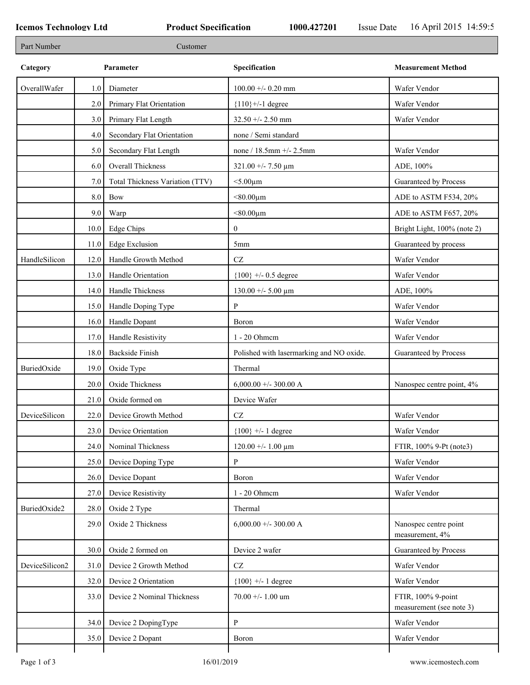| Part Number    |      | Customer                        |                                          |                                                |
|----------------|------|---------------------------------|------------------------------------------|------------------------------------------------|
| Category       |      | Parameter                       | Specification                            | <b>Measurement Method</b>                      |
| OverallWafer   | 1.0  | Diameter                        | $100.00 + -0.20$ mm                      | Wafer Vendor                                   |
|                | 2.0  | Primary Flat Orientation        | ${110}$ +/-1 degree                      | Wafer Vendor                                   |
|                | 3.0  | Primary Flat Length             | 32.50 +/- 2.50 mm                        | Wafer Vendor                                   |
|                | 4.0  | Secondary Flat Orientation      | none / Semi standard                     |                                                |
|                | 5.0  | Secondary Flat Length           | none / 18.5mm +/- 2.5mm                  | Wafer Vendor                                   |
|                | 6.0  | Overall Thickness               | $321.00 + - 7.50 \mu m$                  | ADE, 100%                                      |
|                | 7.0  | Total Thickness Variation (TTV) | $<$ 5.00 $\mu$ m                         | Guaranteed by Process                          |
|                | 8.0  | Bow                             | $< 80.00 \mu m$                          | ADE to ASTM F534, 20%                          |
|                | 9.0  | Warp                            | $< 80.00 \mu m$                          | ADE to ASTM F657, 20%                          |
|                | 10.0 | Edge Chips                      | $\mathbf{0}$                             | Bright Light, 100% (note 2)                    |
|                | 11.0 | <b>Edge Exclusion</b>           | 5mm                                      | Guaranteed by process                          |
| HandleSilicon  | 12.0 | Handle Growth Method            | $\operatorname{CZ}$                      | Wafer Vendor                                   |
|                | 13.0 | Handle Orientation              | ${100}$ +/- 0.5 degree                   | Wafer Vendor                                   |
|                | 14.0 | Handle Thickness                | $130.00 + - 5.00 \mu m$                  | ADE, 100%                                      |
|                | 15.0 | Handle Doping Type              | P                                        | Wafer Vendor                                   |
|                | 16.0 | Handle Dopant                   | Boron                                    | Wafer Vendor                                   |
|                | 17.0 | Handle Resistivity              | 1 - 20 Ohmem                             | Wafer Vendor                                   |
|                | 18.0 | <b>Backside Finish</b>          | Polished with lasermarking and NO oxide. | Guaranteed by Process                          |
| BuriedOxide    | 19.0 | Oxide Type                      | Thermal                                  |                                                |
|                | 20.0 | Oxide Thickness                 | 6,000.00 +/- 300.00 A                    | Nanospec centre point, 4%                      |
|                | 21.0 | Oxide formed on                 | Device Wafer                             |                                                |
| DeviceSilicon  | 22.0 | Device Growth Method            | $\operatorname{CZ}$                      | Wafer Vendor                                   |
|                | 23.0 | Device Orientation              | ${100}$ +/- 1 degree                     | Wafer Vendor                                   |
|                | 24.0 | Nominal Thickness               | $120.00 + - 1.00 \mu m$                  | FTIR, 100% 9-Pt (note3)                        |
|                | 25.0 | Device Doping Type              | P                                        | Wafer Vendor                                   |
|                | 26.0 | Device Dopant                   | Boron                                    | Wafer Vendor                                   |
|                | 27.0 | Device Resistivity              | 1 - 20 Ohmem                             | Wafer Vendor                                   |
| BuriedOxide2   | 28.0 | Oxide 2 Type                    | Thermal                                  |                                                |
|                | 29.0 | Oxide 2 Thickness               | 6,000.00 +/- 300.00 A                    | Nanospec centre point<br>measurement, 4%       |
|                | 30.0 | Oxide 2 formed on               | Device 2 wafer                           | Guaranteed by Process                          |
| DeviceSilicon2 | 31.0 | Device 2 Growth Method          | $\operatorname{CZ}$                      | Wafer Vendor                                   |
|                | 32.0 | Device 2 Orientation            | ${100}$ +/- 1 degree                     | Wafer Vendor                                   |
|                | 33.0 | Device 2 Nominal Thickness      | $70.00 + - 1.00$ um                      | FTIR, 100% 9-point<br>measurement (see note 3) |
|                | 34.0 | Device 2 DopingType             | P                                        | Wafer Vendor                                   |
|                | 35.0 | Device 2 Dopant                 | Boron                                    | Wafer Vendor                                   |
|                |      |                                 |                                          |                                                |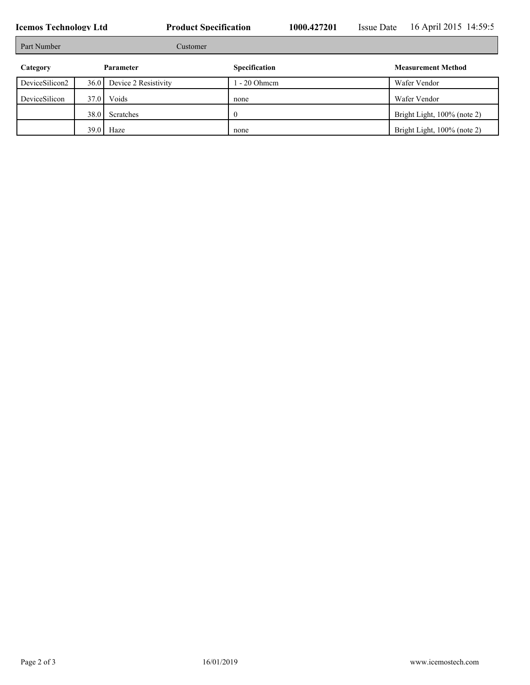**Icemos Technology Ltd Product Specification** 1000.427201 Issue Date 16 April 2015 14:59:5 Part Number Customer **Category Parameter Specification Measurement Method** DeviceSilicon2 36.0 Device 2 Resistivity 1 - 20 Ohmcm Wafer Vendor DeviceSilicon 37.0 Voids none home Wafer Vendor 38.0 Scratches 0 Bright Light, 100% (note 2) 39.0 Haze none have none Bright Light, 100% (note 2)